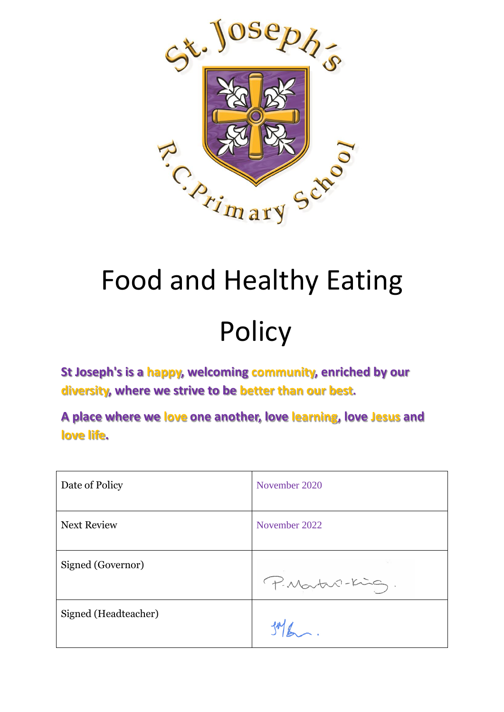

# Food and Healthy Eating

# **Policy**

**St Joseph's is a happy, welcoming community, enriched by our diversity, where we strive to be better than our best.**

**A place where we love one another, love learning, love Jesus and love life.**

| Date of Policy       | November 2020   |
|----------------------|-----------------|
| <b>Next Review</b>   | November 2022   |
| Signed (Governor)    | P. Martin-King. |
| Signed (Headteacher) |                 |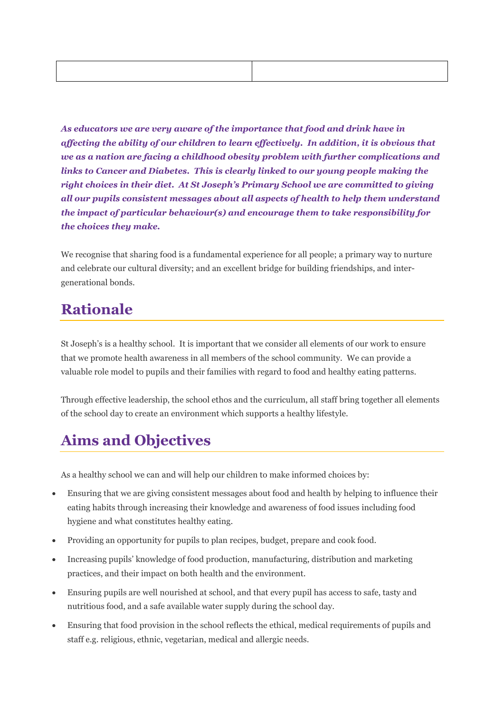*As educators we are very aware of the importance that food and drink have in affecting the ability of our children to learn effectively. In addition, it is obvious that we as a nation are facing a childhood obesity problem with further complications and links to Cancer and Diabetes. This is clearly linked to our young people making the right choices in their diet. At St Joseph's Primary School we are committed to giving all our pupils consistent messages about all aspects of health to help them understand the impact of particular behaviour(s) and encourage them to take responsibility for the choices they make.*

We recognise that sharing food is a fundamental experience for all people; a primary way to nurture and celebrate our cultural diversity; and an excellent bridge for building friendships, and intergenerational bonds.

#### **Rationale**

St Joseph's is a healthy school. It is important that we consider all elements of our work to ensure that we promote health awareness in all members of the school community. We can provide a valuable role model to pupils and their families with regard to food and healthy eating patterns.

Through effective leadership, the school ethos and the curriculum, all staff bring together all elements of the school day to create an environment which supports a healthy lifestyle.

#### **Aims and Objectives**

As a healthy school we can and will help our children to make informed choices by:

- Ensuring that we are giving consistent messages about food and health by helping to influence their eating habits through increasing their knowledge and awareness of food issues including food hygiene and what constitutes healthy eating.
- Providing an opportunity for pupils to plan recipes, budget, prepare and cook food.
- Increasing pupils' knowledge of food production, manufacturing, distribution and marketing practices, and their impact on both health and the environment.
- Ensuring pupils are well nourished at school, and that every pupil has access to safe, tasty and nutritious food, and a safe available water supply during the school day.
- Ensuring that food provision in the school reflects the ethical, medical requirements of pupils and staff e.g. religious, ethnic, vegetarian, medical and allergic needs.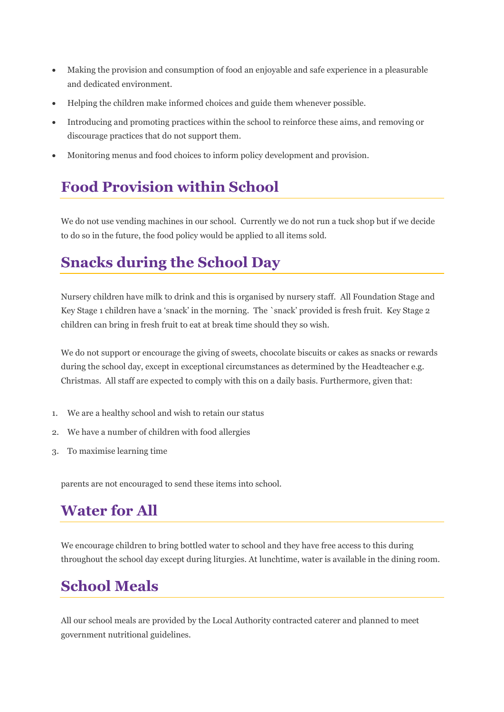- Making the provision and consumption of food an enjoyable and safe experience in a pleasurable and dedicated environment.
- Helping the children make informed choices and guide them whenever possible.
- Introducing and promoting practices within the school to reinforce these aims, and removing or discourage practices that do not support them.
- Monitoring menus and food choices to inform policy development and provision.

#### **Food Provision within School**

We do not use vending machines in our school. Currently we do not run a tuck shop but if we decide to do so in the future, the food policy would be applied to all items sold.

#### **Snacks during the School Day**

Nursery children have milk to drink and this is organised by nursery staff. All Foundation Stage and Key Stage 1 children have a 'snack' in the morning. The `snack' provided is fresh fruit. Key Stage 2 children can bring in fresh fruit to eat at break time should they so wish.

We do not support or encourage the giving of sweets, chocolate biscuits or cakes as snacks or rewards during the school day, except in exceptional circumstances as determined by the Headteacher e.g. Christmas. All staff are expected to comply with this on a daily basis. Furthermore, given that:

- 1. We are a healthy school and wish to retain our status
- 2. We have a number of children with food allergies
- 3. To maximise learning time

parents are not encouraged to send these items into school.

### **Water for All**

We encourage children to bring bottled water to school and they have free access to this during throughout the school day except during liturgies. At lunchtime, water is available in the dining room.

#### **School Meals**

All our school meals are provided by the Local Authority contracted caterer and planned to meet government nutritional guidelines.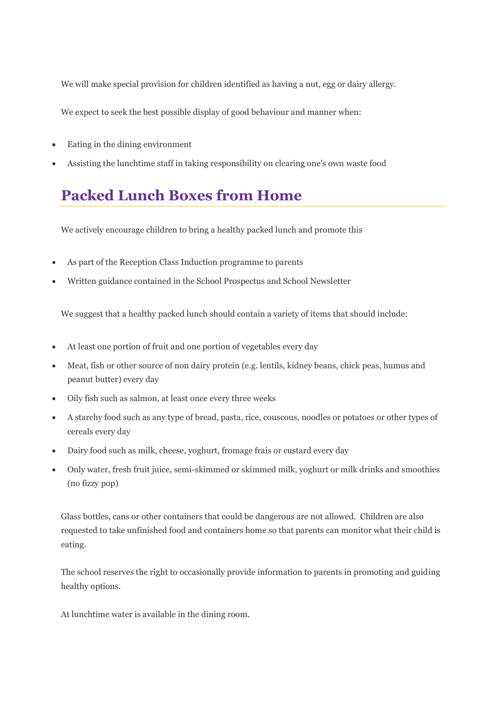We will make special provision for children identified as having a nut, egg or dairy allergy.

We expect to seek the best possible display of good behaviour and manner when:

- Eating in the dining environment
- Assisting the lunchtime staff in taking responsibility on clearing one's own waste food

#### **Packed Lunch Boxes from Home**

We actively encourage children to bring a healthy packed lunch and promote this

- As part of the Reception Class Induction programme to parents
- Written guidance contained in the School Prospectus and School Newsletter

We suggest that a healthy packed lunch should contain a variety of items that should include:

- At least one portion of fruit and one portion of vegetables every day
- Meat, fish or other source of non dairy protein (e.g. lentils, kidney beans, chick peas, humus and peanut butter) every day
- Oily fish such as salmon, at least once every three weeks
- A starchy food such as any type of bread, pasta, rice, couscous, noodles or potatoes or other types of cereals every day
- Dairy food such as milk, cheese, yoghurt, fromage frais or custard every day
- Only water, fresh fruit juice, semi-skimmed or skimmed milk, yoghurt or milk drinks and smoothies (no fizzy pop)

Glass bottles, cans or other containers that could be dangerous are not allowed. Children are also requested to take unfinished food and containers home so that parents can monitor what their child is eating.

The school reserves the right to occasionally provide information to parents in promoting and guiding healthy options.

At lunchtime water is available in the dining room.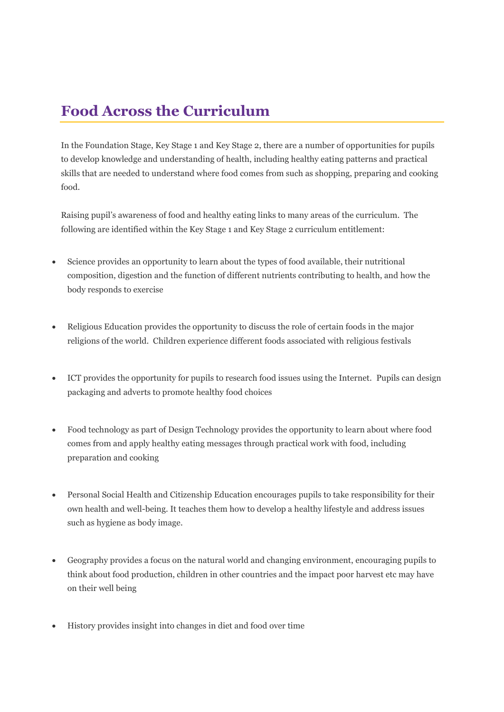#### **Food Across the Curriculum**

In the Foundation Stage, Key Stage 1 and Key Stage 2, there are a number of opportunities for pupils to develop knowledge and understanding of health, including healthy eating patterns and practical skills that are needed to understand where food comes from such as shopping, preparing and cooking food.

Raising pupil's awareness of food and healthy eating links to many areas of the curriculum. The following are identified within the Key Stage 1 and Key Stage 2 curriculum entitlement:

- Science provides an opportunity to learn about the types of food available, their nutritional composition, digestion and the function of different nutrients contributing to health, and how the body responds to exercise
- Religious Education provides the opportunity to discuss the role of certain foods in the major religions of the world. Children experience different foods associated with religious festivals
- ICT provides the opportunity for pupils to research food issues using the Internet. Pupils can design packaging and adverts to promote healthy food choices
- Food technology as part of Design Technology provides the opportunity to learn about where food comes from and apply healthy eating messages through practical work with food, including preparation and cooking
- Personal Social Health and Citizenship Education encourages pupils to take responsibility for their own health and well-being. It teaches them how to develop a healthy lifestyle and address issues such as hygiene as body image.
- Geography provides a focus on the natural world and changing environment, encouraging pupils to think about food production, children in other countries and the impact poor harvest etc may have on their well being
- History provides insight into changes in diet and food over time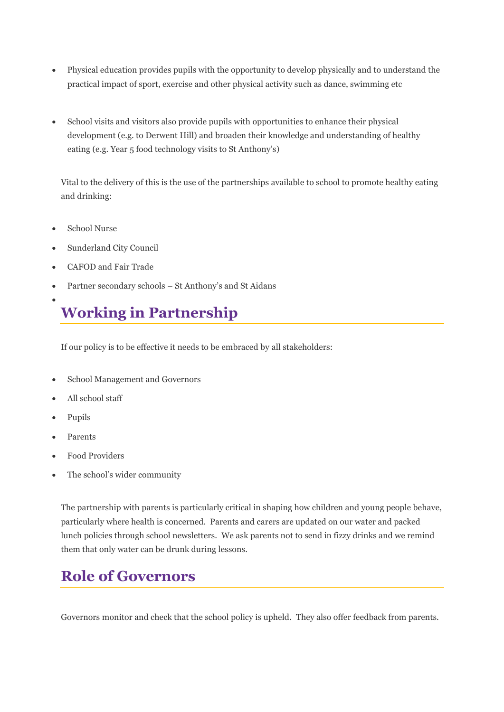- Physical education provides pupils with the opportunity to develop physically and to understand the practical impact of sport, exercise and other physical activity such as dance, swimming etc
- School visits and visitors also provide pupils with opportunities to enhance their physical development (e.g. to Derwent Hill) and broaden their knowledge and understanding of healthy eating (e.g. Year 5 food technology visits to St Anthony's)

Vital to the delivery of this is the use of the partnerships available to school to promote healthy eating and drinking:

- School Nurse
- Sunderland City Council
- CAFOD and Fair Trade
- Partner secondary schools St Anthony's and St Aidans

## **Working in Partnership**

If our policy is to be effective it needs to be embraced by all stakeholders:

- School Management and Governors
- All school staff
- Pupils

•

- Parents
- Food Providers
- The school's wider community

The partnership with parents is particularly critical in shaping how children and young people behave, particularly where health is concerned. Parents and carers are updated on our water and packed lunch policies through school newsletters. We ask parents not to send in fizzy drinks and we remind them that only water can be drunk during lessons.

#### **Role of Governors**

Governors monitor and check that the school policy is upheld. They also offer feedback from parents.